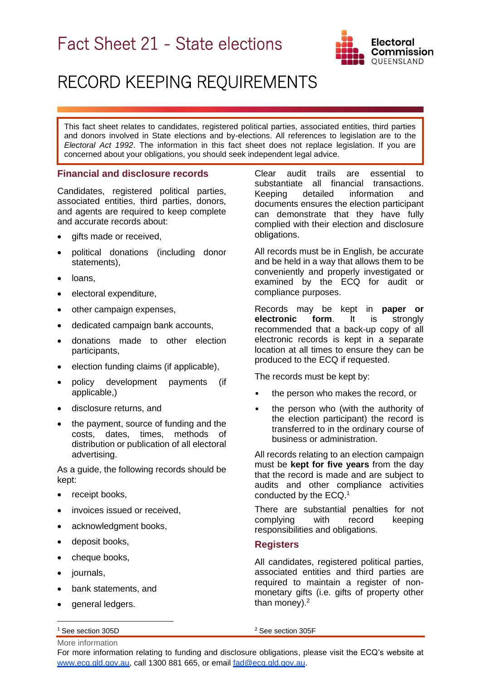# Fact Sheet 21 - State elections



## RECORD KEEPING REQUIREMENTS

This fact sheet relates to candidates, registered political parties, associated entities, third parties and donors involved in State elections and by-elections. All references to legislation are to the *Electoral Act 1992*. The information in this fact sheet does not replace legislation. If you are concerned about your obligations, you should seek independent legal advice.

#### **Financial and disclosure records**

Candidates, registered political parties, associated entities, third parties, donors, and agents are required to keep complete and accurate records about:

- gifts made or received,
- political donations (including donor statements),
- loans,
- electoral expenditure,
- other campaign expenses,
- dedicated campaign bank accounts,
- donations made to other election participants,
- election funding claims (if applicable),
- policy development payments (if applicable,)
- disclosure returns, and
- the payment, source of funding and the costs, dates, times, methods of distribution or publication of all electoral advertising.

As a guide, the following records should be kept:

- receipt books,
- invoices issued or received,
- acknowledgment books,
- deposit books,
- cheque books,
- iournals.
- bank statements, and
- general ledgers.

Clear audit trails are essential to substantiate all financial transactions. Keeping detailed information and documents ensures the election participant can demonstrate that they have fully complied with their election and disclosure obligations.

All records must be in English, be accurate and be held in a way that allows them to be conveniently and properly investigated or examined by the ECQ for audit or compliance purposes.

Records may be kept in **paper or electronic form**. It is strongly recommended that a back-up copy of all electronic records is kept in a separate location at all times to ensure they can be produced to the ECQ if requested.

The records must be kept by:

- the person who makes the record, or
- the person who (with the authority of the election participant) the record is transferred to in the ordinary course of business or administration.

All records relating to an election campaign must be **kept for five years** from the day that the record is made and are subject to audits and other compliance activities conducted by the ECQ. 1

There are substantial penalties for not complying with record keeping responsibilities and obligations.

#### **Registers**

All candidates, registered political parties, associated entities and third parties are required to maintain a register of nonmonetary gifts (i.e. gifts of property other than money). $2$ 

<sup>1</sup> See section 305D

<sup>2</sup> See section 305F

More information For more information relating to funding and disclosure obligations, please visit the ECQ's website at [www.ecq.qld.gov.au,](http://www.ecq.qld.gov.au/) call 1300 881 665, or email [fad@ecq.qld.gov.au.](mailto:fad@ecq.qld.gov.au)